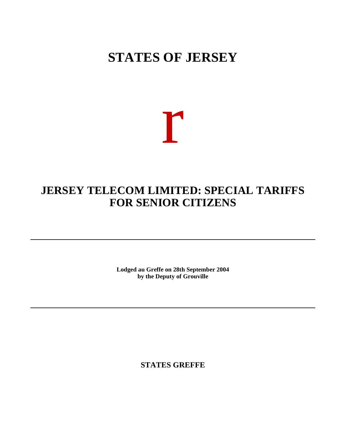## **STATES OF JERSEY**

# r

## **JERSEY TELECOM LIMITED: SPECIAL TARIFFS FOR SENIOR CITIZENS**

**Lodged au Greffe on 28th September 2004 by the Deputy of Grouville**

**STATES GREFFE**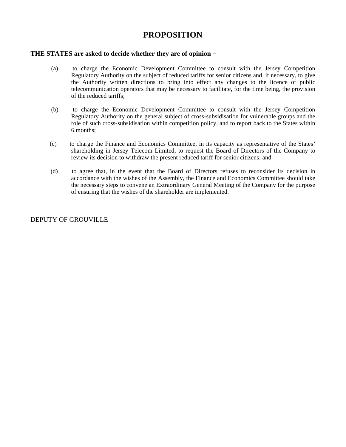### **PROPOSITION**

#### **THE STATES are asked to decide whether they are of opinion**

- (a) to charge the Economic Development Committee to consult with the Jersey Competition Regulatory Authority on the subject of reduced tariffs for senior citizens and, if necessary, to give the Authority written directions to bring into effect any changes to the licence of public telecommunication operators that may be necessary to facilitate, for the time being, the provision of the reduced tariffs;
- (b) to charge the Economic Development Committee to consult with the Jersey Competition Regulatory Authority on the general subject of cross-subsidisation for vulnerable groups and the role of such cross-subsidisation within competition policy, and to report back to the States within 6 months;
- (c) to charge the Finance and Economics Committee, in its capacity as representative of the States' shareholding in Jersey Telecom Limited, to request the Board of Directors of the Company to review its decision to withdraw the present reduced tariff for senior citizens; and
- (d) to agree that, in the event that the Board of Directors refuses to reconsider its decision in accordance with the wishes of the Assembly, the Finance and Economics Committee should take the necessary steps to convene an Extraordinary General Meeting of the Company for the purpose of ensuring that the wishes of the shareholder are implemented.

#### DEPUTY OF GROUVILLE